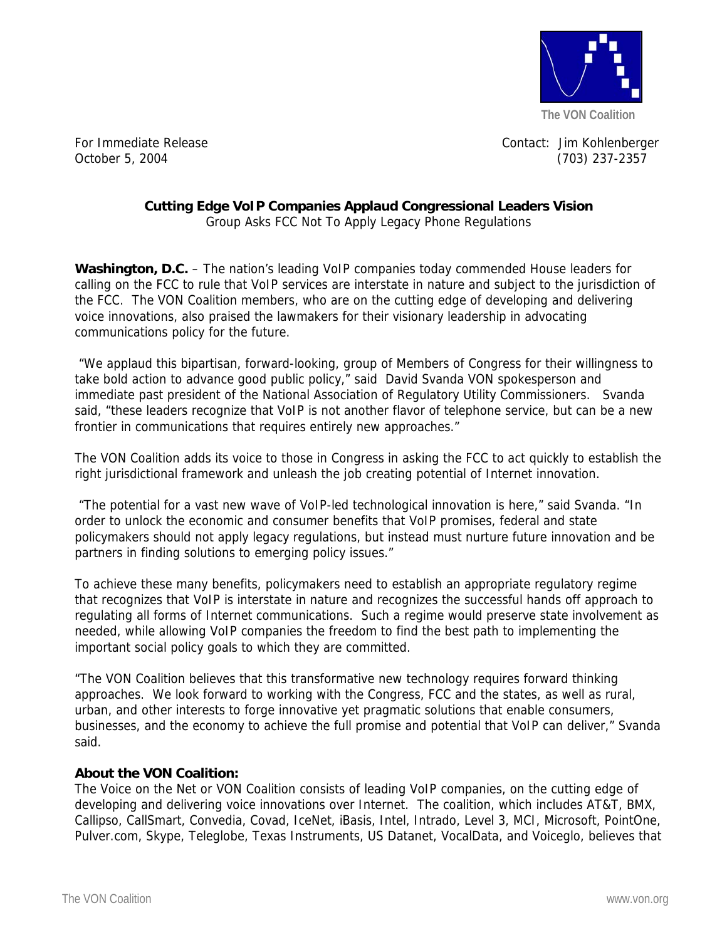

For Immediate Release Contact: Jim Kohlenberger October 5, 2004 (703) 237-2357

## **Cutting Edge VoIP Companies Applaud Congressional Leaders Vision**

Group Asks FCC Not To Apply Legacy Phone Regulations

**Washington, D.C.** – The nation's leading VoIP companies today commended House leaders for calling on the FCC to rule that VoIP services are interstate in nature and subject to the jurisdiction of the FCC. The VON Coalition members, who are on the cutting edge of developing and delivering voice innovations, also praised the lawmakers for their visionary leadership in advocating communications policy for the future.

 "We applaud this bipartisan, forward-looking, group of Members of Congress for their willingness to take bold action to advance good public policy," said David Svanda VON spokesperson and immediate past president of the National Association of Regulatory Utility Commissioners. Svanda said, "these leaders recognize that VoIP is not another flavor of telephone service, but can be a new frontier in communications that requires entirely new approaches."

The VON Coalition adds its voice to those in Congress in asking the FCC to act quickly to establish the right jurisdictional framework and unleash the job creating potential of Internet innovation.

 "The potential for a vast new wave of VoIP-led technological innovation is here," said Svanda. "In order to unlock the economic and consumer benefits that VoIP promises, federal and state policymakers should not apply legacy regulations, but instead must nurture future innovation and be partners in finding solutions to emerging policy issues."

To achieve these many benefits, policymakers need to establish an appropriate regulatory regime that recognizes that VoIP is interstate in nature and recognizes the successful hands off approach to regulating all forms of Internet communications. Such a regime would preserve state involvement as needed, while allowing VoIP companies the freedom to find the best path to implementing the important social policy goals to which they are committed.

"The VON Coalition believes that this transformative new technology requires forward thinking approaches. We look forward to working with the Congress, FCC and the states, as well as rural, urban, and other interests to forge innovative yet pragmatic solutions that enable consumers, businesses, and the economy to achieve the full promise and potential that VoIP can deliver," Svanda said.

## **About the VON Coalition:**

The Voice on the Net or VON Coalition consists of leading VoIP companies, on the cutting edge of developing and delivering voice innovations over Internet. The coalition, which includes AT&T, BMX, Callipso, CallSmart, Convedia, Covad, IceNet, iBasis, Intel, Intrado, Level 3, MCI, Microsoft, PointOne, Pulver.com, Skype, Teleglobe, Texas Instruments, US Datanet, VocalData, and Voiceglo, believes that